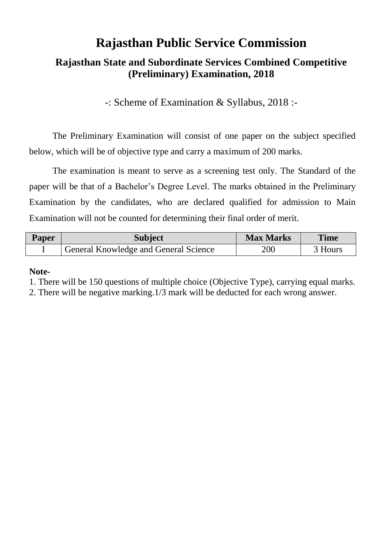# **Rajasthan Public Service Commission**

# **Rajasthan State and Subordinate Services Combined Competitive (Preliminary) Examination, 2018**

-: Scheme of Examination & Syllabus, 2018 :-

The Preliminary Examination will consist of one paper on the subject specified below, which will be of objective type and carry a maximum of 200 marks.

The examination is meant to serve as a screening test only. The Standard of the paper will be that of a Bachelor's Degree Level. The marks obtained in the Preliminary Examination by the candidates, who are declared qualified for admission to Main Examination will not be counted for determining their final order of merit.

| <b>Paper</b> | <b>Subject</b>                        | <b>Max Marks</b> | <b>Time</b> |
|--------------|---------------------------------------|------------------|-------------|
|              | General Knowledge and General Science | 200              | 3 Hours     |

#### **Note-**

1. There will be 150 questions of multiple choice (Objective Type), carrying equal marks.

2. There will be negative marking.1/3 mark will be deducted for each wrong answer.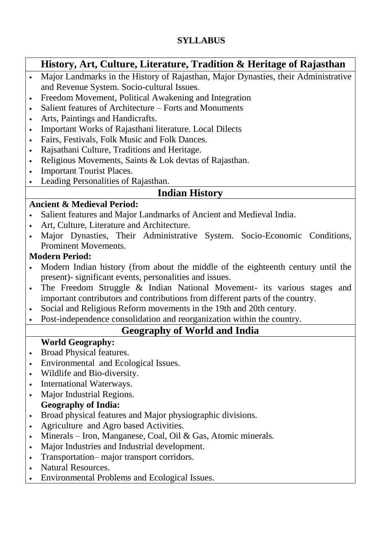### **SYLLABUS**

## **History, Art, Culture, Literature, Tradition & Heritage of Rajasthan**

- Major Landmarks in the History of Rajasthan, Major Dynasties, their Administrative and Revenue System. Socio-cultural Issues.
- Freedom Movement, Political Awakening and Integration
- Salient features of Architecture Forts and Monuments
- Arts, Paintings and Handicrafts.
- Important Works of Rajasthani literature. Local Dilects
- Fairs, Festivals, Folk Music and Folk Dances.
- Rajsathani Culture, Traditions and Heritage.
- Religious Movements, Saints & Lok devtas of Rajasthan.
- Important Tourist Places.
- Leading Personalities of Rajasthan.

## **Indian History**

#### **Ancient & Medieval Period:**

- Salient features and Major Landmarks of Ancient and Medieval India.
- Art, Culture, Literature and Architecture.
- Major Dynasties, Their Administrative System. Socio-Economic Conditions, Prominent Movements.

#### **Modern Period:**

- Modern Indian history (from about the middle of the eighteenth century until the present)- significant events, personalities and issues.
- The Freedom Struggle & Indian National Movement- its various stages and important contributors and contributions from different parts of the country.
- Social and Religious Reform movements in the 19th and 20th century.
- Post-independence consolidation and reorganization within the country.

# **Geography of World and India**

#### **World Geography:**

- Broad Physical features.
- Environmental and Ecological Issues.
- Wildlife and Bio-diversity.
- International Waterways.
- Major Industrial Regions.

#### **Geography of India:**

- Broad physical features and Major physiographic divisions.
- Agriculture and Agro based Activities.
- Minerals Iron, Manganese, Coal, Oil & Gas, Atomic minerals.
- Major Industries and Industrial development.
- Transportation– major transport corridors.
- Natural Resources.
- Environmental Problems and Ecological Issues.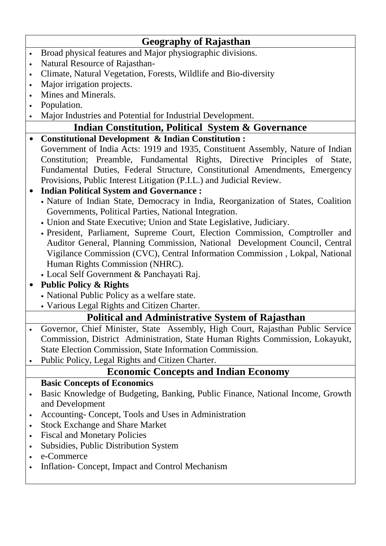# **Geography of Rajasthan**

- Broad physical features and Major physiographic divisions.
- Natural Resource of Rajasthan-
- Climate, Natural Vegetation, Forests, Wildlife and Bio-diversity
- Major irrigation projects.
- Mines and Minerals.
- Population.
- Major Industries and Potential for Industrial Development.

# **Indian Constitution, Political System & Governance**

 **Constitutional Development & Indian Constitution :**  Government of India Acts: 1919 and 1935, Constituent Assembly, Nature of Indian Constitution; Preamble, Fundamental Rights, Directive Principles of State, Fundamental Duties, Federal Structure, Constitutional Amendments, Emergency Provisions, Public Interest Litigation (P.I.L.) and Judicial Review.

- **Indian Political System and Governance :**
	- Nature of Indian State, Democracy in India, Reorganization of States, Coalition Governments, Political Parties, National Integration.
	- Union and State Executive; Union and State Legislative, Judiciary.
	- President, Parliament, Supreme Court, Election Commission, Comptroller and Auditor General, Planning Commission, National Development Council, Central Vigilance Commission (CVC), Central Information Commission , Lokpal, National Human Rights Commission (NHRC).
	- Local Self Government & Panchayati Raj.
- **Public Policy & Rights**
	- National Public Policy as a welfare state.
	- Various Legal Rights and Citizen Charter.

## **Political and Administrative System of Rajasthan**

- Governor, Chief Minister, State Assembly, High Court, Rajasthan Public Service Commission, District Administration, State Human Rights Commission, Lokayukt, State Election Commission, State Information Commission.
- Public Policy, Legal Rights and Citizen Charter.

## **Economic Concepts and Indian Economy**

#### **Basic Concepts of Economics**

- Basic Knowledge of Budgeting, Banking, Public Finance, National Income, Growth and Development
- Accounting- Concept, Tools and Uses in Administration
- Stock Exchange and Share Market
- Fiscal and Monetary Policies
- Subsidies, Public Distribution System
- e-Commerce
- Inflation- Concept, Impact and Control Mechanism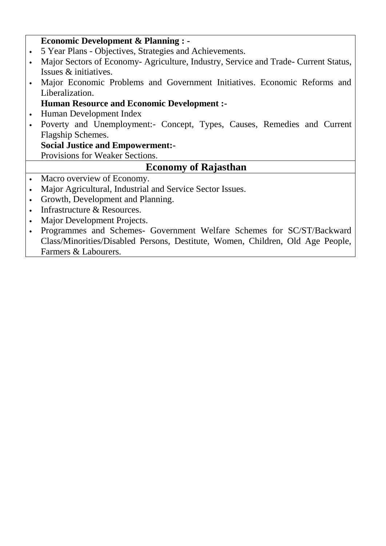#### **Economic Development & Planning : -**

- 5 Year Plans Objectives, Strategies and Achievements.
- Major Sectors of Economy- Agriculture, Industry, Service and Trade- Current Status, Issues & initiatives.
- Major Economic Problems and Government Initiatives. Economic Reforms and Liberalization.

#### **Human Resource and Economic Development :-**

- Human Development Index
- Poverty and Unemployment:- Concept, Types, Causes, Remedies and Current Flagship Schemes.

#### **Social Justice and Empowerment:-**

Provisions for Weaker Sections.

## **Economy of Rajasthan**

- Macro overview of Economy.
- Major Agricultural, Industrial and Service Sector Issues.
- Growth, Development and Planning.
- Infrastructure & Resources.
- Major Development Projects.
- Programmes and Schemes- Government Welfare Schemes for SC/ST/Backward Class/Minorities/Disabled Persons, Destitute, Women, Children, Old Age People, Farmers & Labourers.